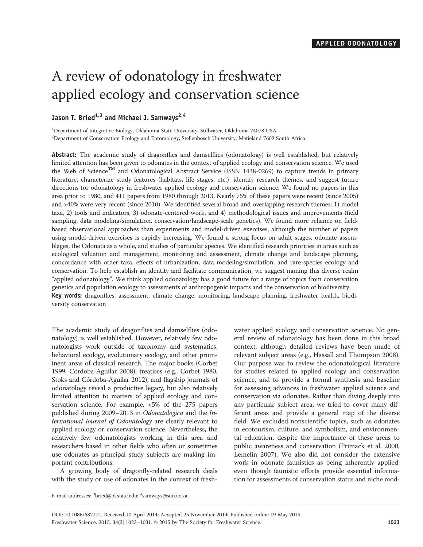# A review of odonatology in freshwater applied ecology and conservation science

# Jason T. Bried<sup>1,3</sup> and Michael J. Samways<sup>2,4</sup>

<sup>1</sup>Department of Integrative Biology, Oklahoma State University, Stillwater, Oklahoma 74078 USA 2 Department of Conservation Ecology and Entomology, Stellenbosch University, Matieland 7602 South Africa

Abstract: The academic study of dragonflies and damselflies (odonatology) is well established, but relatively limited attention has been given to odonates in the context of applied ecology and conservation science. We used the Web of Science™ and Odonatological Abstract Service (ISSN 1438-0269) to capture trends in primary literature, characterize study features (habitats, life stages, etc.), identify research themes, and suggest future directions for odonatology in freshwater applied ecology and conservation science. We found no papers in this area prior to 1980, and 411 papers from 1980 through 2013. Nearly 75% of these papers were recent (since 2005) and >40% were very recent (since 2010). We identified several broad and overlapping research themes: 1) model taxa, 2) tools and indicators, 3) odonate-centered work, and 4) methodological issues and improvements (field sampling, data modeling/simulation, conservation/landscape-scale genetics). We found more reliance on fieldbased observational approaches than experiments and model-driven exercises, although the number of papers using model-driven exercises is rapidly increasing. We found a strong focus on adult stages, odonate assemblages, the Odonata as a whole, and studies of particular species. We identified research priorities in areas such as ecological valuation and management, monitoring and assessment, climate change and landscape planning, concordance with other taxa, effects of urbanization, data modeling/simulation, and rare-species ecology and conservation. To help establish an identity and facilitate communication, we suggest naming this diverse realm "applied odonatology". We think applied odonatology has a good future for a range of topics from conservation genetics and population ecology to assessments of anthropogenic impacts and the conservation of biodiversity. Key words: dragonflies, assessment, climate change, monitoring, landscape planning, freshwater health, biodiversity conservation

The academic study of dragonflies and damselflies (odonatology) is well established. However, relatively few odonatologists work outside of taxonomy and systematics, behavioral ecology, evolutionary ecology, and other prominent areas of classical research. The major books (Corbet 1999, Córdoba-Aguilar 2008), treatises (e.g., Corbet 1980, Stoks and Córdoba-Aguilar 2012), and flagship journals of odonatology reveal a productive legacy, but also relatively limited attention to matters of applied ecology and conservation science. For example, <5% of the 275 papers published during 2009–2013 in Odonatologica and the International Journal of Odonatology are clearly relevant to applied ecology or conservation science. Nevertheless, the relatively few odonatologists working in this area and researchers based in other fields who often or sometimes use odonates as principal study subjects are making important contributions.

A growing body of dragonfly-related research deals with the study or use of odonates in the context of freshwater applied ecology and conservation science. No general review of odonatology has been done in this broad context, although detailed reviews have been made of relevant subject areas (e.g., Hassall and Thompson 2008). Our purpose was to review the odonatological literature for studies related to applied ecology and conservation science, and to provide a formal synthesis and baseline for assessing advances in freshwater applied science and conservation via odonates. Rather than diving deeply into any particular subject area, we tried to cover many different areas and provide a general map of the diverse field. We excluded nonscientific topics, such as odonates in ecotourism, culture, and symbolism, and environmental education, despite the importance of these areas to public awareness and conservation (Primack et al. 2000, Lemelin 2007). We also did not consider the extensive work in odonate faunistics as being inherently applied, even though faunistic efforts provide essential information for assessments of conservation status and niche mod-

E-mail addresses:  $^3$ bried@okstate.edu;  $^4$ samways@sun.ac.za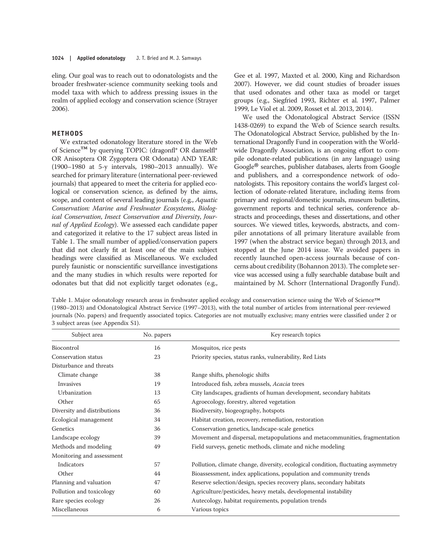eling. Our goal was to reach out to odonatologists and the broader freshwater-science community seeking tools and model taxa with which to address pressing issues in the realm of applied ecology and conservation science (Strayer 2006).

# METHODS

We extracted odonatology literature stored in the Web of Science™ by querying TOPIC: (dragonfl\* OR damselfl\* OR Anisoptera OR Zygoptera OR Odonata) AND YEAR: (1900–1980 at 5-y intervals, 1980–2013 annually). We searched for primary literature (international peer-reviewed journals) that appeared to meet the criteria for applied ecological or conservation science, as defined by the aims, scope, and content of several leading journals (e.g., Aquatic Conservation: Marine and Freshwater Ecosystems, Biological Conservation, Insect Conservation and Diversity, Journal of Applied Ecology). We assessed each candidate paper and categorized it relative to the 17 subject areas listed in Table 1. The small number of applied/conservation papers that did not clearly fit at least one of the main subject headings were classified as Miscellaneous. We excluded purely faunistic or nonscientific surveillance investigations and the many studies in which results were reported for odonates but that did not explicitly target odonates (e.g., Gee et al. 1997, Maxted et al. 2000, King and Richardson 2007). However, we did count studies of broader issues that used odonates and other taxa as model or target groups (e.g., Siegfried 1993, Richter et al. 1997, Palmer 1999, Le Viol et al. 2009, Rosset et al. 2013, 2014).

We used the Odonatological Abstract Service (ISSN 1438-0269) to expand the Web of Science search results. The Odonatological Abstract Service, published by the International Dragonfly Fund in cooperation with the Worldwide Dragonfly Association, is an ongoing effort to compile odonate-related publications (in any language) using Google® searches, publisher databases, alerts from Google and publishers, and a correspondence network of odonatologists. This repository contains the world's largest collection of odonate-related literature, including items from primary and regional/domestic journals, museum bulletins, government reports and technical series, conference abstracts and proceedings, theses and dissertations, and other sources. We viewed titles, keywords, abstracts, and compiler annotations of all primary literature available from 1997 (when the abstract service began) through 2013, and stopped at the June 2014 issue. We avoided papers in recently launched open-access journals because of concerns about credibility (Bohannon 2013). The complete service was accessed using a fully searchable database built and maintained by M. Schorr (International Dragonfly Fund).

Table 1. Major odonatology research areas in freshwater applied ecology and conservation science using the Web of Science™<br>(1980–2013) and Odonatological Abstract Service (1997–2013), with the total number of articles fro journals (No. papers) and frequently associated topics. Categories are not mutually exclusive; many entries were classified under 2 or 3 subject areas (see Appendix S1).

| Subject area                | No. papers | Key research topics                                                               |  |
|-----------------------------|------------|-----------------------------------------------------------------------------------|--|
| <b>Biocontrol</b>           | 16         | Mosquitos, rice pests                                                             |  |
| Conservation status         | 23         | Priority species, status ranks, vulnerability, Red Lists                          |  |
| Disturbance and threats     |            |                                                                                   |  |
| Climate change              | 38         | Range shifts, phenologic shifts                                                   |  |
| Invasives                   | 19         | Introduced fish, zebra mussels, Acacia trees                                      |  |
| Urbanization                | 13         | City landscapes, gradients of human development, secondary habitats               |  |
| Other                       | 65         | Agroecology, forestry, altered vegetation                                         |  |
| Diversity and distributions | 36         | Biodiversity, biogeography, hotspots                                              |  |
| Ecological management       | 34         | Habitat creation, recovery, remediation, restoration                              |  |
| Genetics                    | 36         | Conservation genetics, landscape-scale genetics                                   |  |
| Landscape ecology           | 39         | Movement and dispersal, metapopulations and metacommunities, fragmentation        |  |
| Methods and modeling        | 49         | Field surveys, genetic methods, climate and niche modeling                        |  |
| Monitoring and assessment   |            |                                                                                   |  |
| Indicators                  | 57         | Pollution, climate change, diversity, ecological condition, fluctuating asymmetry |  |
| Other                       | 44         | Bioassessment, index applications, population and community trends                |  |
| Planning and valuation      | 47         | Reserve selection/design, species recovery plans, secondary habitats              |  |
| Pollution and toxicology    | 60         | Agriculture/pesticides, heavy metals, developmental instability                   |  |
| Rare species ecology        | 26         | Autecology, habitat requirements, population trends                               |  |
| Miscellaneous               | 6          | Various topics                                                                    |  |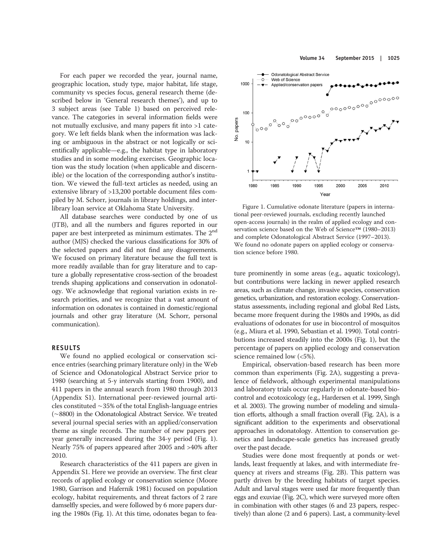For each paper we recorded the year, journal name, geographic location, study type, major habitat, life stage, community vs species focus, general research theme (described below in 'General research themes'), and up to 3 subject areas (see Table 1) based on perceived relevance. The categories in several information fields were not mutually exclusive, and many papers fit into >1 category. We left fields blank when the information was lacking or ambiguous in the abstract or not logically or scientifically applicable—e.g., the habitat type in laboratory studies and in some modeling exercises. Geographic location was the study location (when applicable and discernible) or the location of the corresponding author's institution. We viewed the full-text articles as needed, using an extensive library of >13,200 portable document files compiled by M. Schorr, journals in library holdings, and interlibrary loan service at Oklahoma State University.

All database searches were conducted by one of us (JTB), and all the numbers and figures reported in our paper are best interpreted as minimum estimates. The 2nd author (MJS) checked the various classifications for 30% of the selected papers and did not find any disagreements. We focused on primary literature because the full text is more readily available than for gray literature and to capture a globally representative cross-section of the broadest trends shaping applications and conservation in odonatology. We acknowledge that regional variation exists in research priorities, and we recognize that a vast amount of information on odonates is contained in domestic/regional journals and other gray literature (M. Schorr, personal communication).

# RESULTS

We found no applied ecological or conservation science entries (searching primary literature only) in the Web of Science and Odonatological Abstract Service prior to 1980 (searching at 5-y intervals starting from 1900), and 411 papers in the annual search from 1980 through 2013 (Appendix S1). International peer-reviewed journal articles constituted ∼35% of the total English-language entries (∼8800) in the Odonatological Abstract Service. We treated several journal special series with an applied/conservation theme as single records. The number of new papers per year generally increased during the 34-y period (Fig. 1). Nearly 75% of papers appeared after 2005 and >40% after 2010.

Research characteristics of the 411 papers are given in Appendix S1. Here we provide an overview. The first clear records of applied ecology or conservation science (Moore 1980, Garrison and Hafernik 1981) focused on population ecology, habitat requirements, and threat factors of 2 rare damselfly species, and were followed by 6 more papers during the 1980s (Fig. 1). At this time, odonates began to feaVolume 34 September 2015 | 1025



Figure 1. Cumulative odonate literature (papers in international peer-reviewed journals, excluding recently launched open-access journals) in the realm of applied ecology and conservation science based on the Web of Science™ (1980–2013) and complete Odonatological Abstract Service (1997–2013). We found no odonate papers on applied ecology or conservation science before 1980.

ture prominently in some areas (e.g., aquatic toxicology), but contributions were lacking in newer applied research areas, such as climate change, invasive species, conservation genetics, urbanization, and restoration ecology. Conservationstatus assessments, including regional and global Red Lists, became more frequent during the 1980s and 1990s, as did evaluations of odonates for use in biocontrol of mosquitos (e.g., Miura et al. 1990, Sebastian et al. 1990). Total contributions increased steadily into the 2000s (Fig. 1), but the percentage of papers on applied ecology and conservation science remained low (<5%).

Empirical, observation-based research has been more common than experiments (Fig. 2A), suggesting a prevalence of fieldwork, although experimental manipulations and laboratory trials occur regularly in odonate-based biocontrol and ecotoxicology (e.g., Hardersen et al. 1999, Singh et al. 2003). The growing number of modeling and simulation efforts, although a small fraction overall (Fig. 2A), is a significant addition to the experiments and observational approaches in odonatology. Attention to conservation genetics and landscape-scale genetics has increased greatly over the past decade.

Studies were done most frequently at ponds or wetlands, least frequently at lakes, and with intermediate frequency at rivers and streams (Fig. 2B). This pattern was partly driven by the breeding habitats of target species. Adult and larval stages were used far more frequently than eggs and exuviae (Fig. 2C), which were surveyed more often in combination with other stages (6 and 23 papers, respectively) than alone (2 and 6 papers). Last, a community-level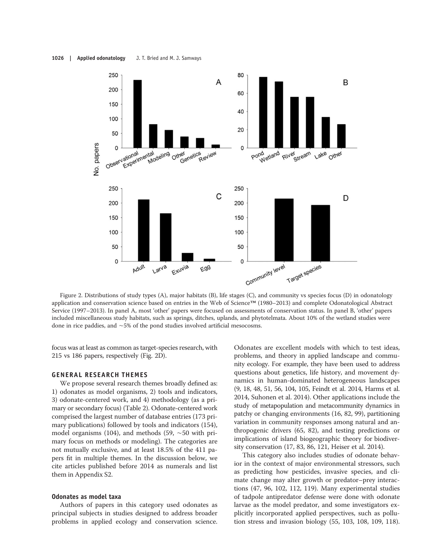#### 1026 | Applied odonatology J. T. Bried and M. J. Samways



Figure 2. Distributions of study types (A), major habitats (B), life stages (C), and community vs species focus (D) in odonatology application and conservation science based on entries in the Web of Science™ (1980–2013) and complete Odonatological Abstract Service (1997–2013). In panel A, most 'other' papers were focused on assessments of conservation status. In panel B, 'other' papers included miscellaneous study habitats, such as springs, ditches, uplands, and phytotelmata. About 10% of the wetland studies were done in rice paddies, and ∼5% of the pond studies involved artificial mesocosms.

focus was at least as common as target-species research, with 215 vs 186 papers, respectively (Fig. 2D).

# GENERAL RESEARCH THEMES

We propose several research themes broadly defined as: 1) odonates as model organisms, 2) tools and indicators, 3) odonate-centered work, and 4) methodology (as a primary or secondary focus) (Table 2). Odonate-centered work comprised the largest number of database entries (173 primary publications) followed by tools and indicators (154), model organisms (104), and methods (59, ∼50 with primary focus on methods or modeling). The categories are not mutually exclusive, and at least 18.5% of the 411 papers fit in multiple themes. In the discussion below, we cite articles published before 2014 as numerals and list them in Appendix S2.

# Odonates as model taxa

Authors of papers in this category used odonates as principal subjects in studies designed to address broader problems in applied ecology and conservation science. Odonates are excellent models with which to test ideas, problems, and theory in applied landscape and community ecology. For example, they have been used to address questions about genetics, life history, and movement dynamics in human-dominated heterogeneous landscapes (9, 18, 48, 51, 56, 104, 105, Feindt et al. 2014, Harms et al. 2014, Suhonen et al. 2014). Other applications include the study of metapopulation and metacommunity dynamics in patchy or changing environments (16, 82, 99), partitioning variation in community responses among natural and anthropogenic drivers (65, 82), and testing predictions or implications of island biogeographic theory for biodiversity conservation (17, 83, 86, 121, Heiser et al. 2014).

This category also includes studies of odonate behavior in the context of major environmental stressors, such as predicting how pesticides, invasive species, and climate change may alter growth or predator–prey interactions (47, 96, 102, 112, 119). Many experimental studies of tadpole antipredator defense were done with odonate larvae as the model predator, and some investigators explicitly incorporated applied perspectives, such as pollution stress and invasion biology (55, 103, 108, 109, 118).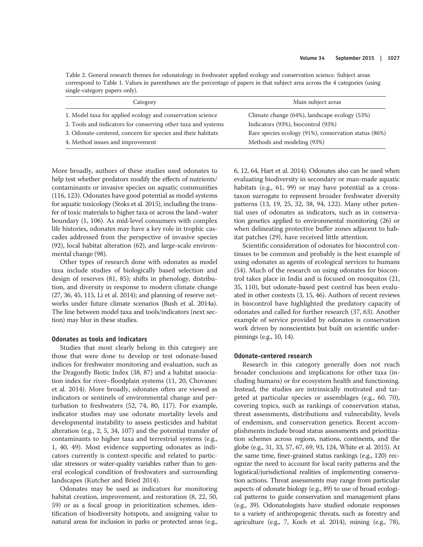Table 2. General research themes for odonatology in freshwater applied ecology and conservation science. Subject areas correspond to Table 1. Values in parentheses are the percentage of papers in that subject area across the 4 categories (using single-category papers only).

| Category                                                      | Main subject areas                                    |
|---------------------------------------------------------------|-------------------------------------------------------|
| 1. Model taxa for applied ecology and conservation science    | Climate change (64%), landscape ecology (53%)         |
| 2. Tools and indicators for conserving other taxa and systems | Indicators (93%), biocontrol (93%)                    |
| 3. Odonate-centered, concern for species and their habitats   | Rare species ecology (91%), conservation status (86%) |
| 4. Method issues and improvement                              | Methods and modeling (93%)                            |

More broadly, authors of these studies used odonates to help test whether predators modify the effects of nutrients/ contaminants or invasive species on aquatic communities (116, 123). Odonates have good potential as model systems for aquatic toxicology (Stoks et al. 2015), including the transfer of toxic materials to higher taxa or across the land–water boundary (1, 106). As mid-level consumers with complex life histories, odonates may have a key role in trophic cascades addressed from the perspective of invasive species (92), local habitat alteration (62), and large-scale environmental change (98).

Other types of research done with odonates as model taxa include studies of biologically based selection and design of reserves (81, 85); shifts in phenology, distribution, and diversity in response to modern climate change (27, 36, 45, 115, Li et al. 2014); and planning of reserve networks under future climate scenarios (Bush et al. 2014a). The line between model taxa and tools/indicators (next section) may blur in these studies.

# Odonates as tools and indicators

Studies that most clearly belong in this category are those that were done to develop or test odonate-based indices for freshwater monitoring and evaluation, such as the Dragonfly Biotic Index (38, 87) and a habitat association index for river–floodplain systems (11, 20, Chovanec et al. 2014). More broadly, odonates often are viewed as indicators or sentinels of environmental change and perturbation to freshwaters (52, 74, 80, 117). For example, indicator studies may use odonate mortality levels and developmental instability to assess pesticides and habitat alteration (e.g., 2, 5, 34, 107) and the potential transfer of contaminants to higher taxa and terrestrial systems (e.g., 1, 40, 49). Most evidence supporting odonates as indicators currently is context-specific and related to particular stressors or water-quality variables rather than to general ecological condition of freshwaters and surrounding landscapes (Kutcher and Bried 2014).

Odonates may be used as indicators for monitoring habitat creation, improvement, and restoration (8, 22, 50, 59) or as a focal group in prioritization schemes, identification of biodiversity hotspots, and assigning value to natural areas for inclusion in parks or protected areas (e.g.,

6, 12, 64, Hart et al. 2014). Odonates also can be used when evaluating biodiversity in secondary or man-made aquatic habitats (e.g., 61, 99) or may have potential as a crosstaxon surrogate to represent broader freshwater diversity patterns (13, 19, 25, 32, 38, 94, 122). Many other potential uses of odonates as indicators, such as in conservation genetics applied to environmental monitoring (26) or when delineating protective buffer zones adjacent to habitat patches (29), have received little attention.

Scientific consideration of odonates for biocontrol continues to be common and probably is the best example of using odonates as agents of ecological services to humans (54). Much of the research on using odonates for biocontrol takes place in India and is focused on mosquitos (21, 35, 110), but odonate-based pest control has been evaluated in other contexts (3, 15, 46). Authors of recent reviews in biocontrol have highlighted the predatory capacity of odonates and called for further research (37, 63). Another example of service provided by odonates is conservation work driven by nonscientists but built on scientific underpinnings (e.g., 10, 14).

# Odonate-centered research

Research in this category generally does not reach broader conclusions and implications for other taxa (including humans) or for ecosystem health and functioning. Instead, the studies are intrinsically motivated and targeted at particular species or assemblages (e.g., 60, 70), covering topics, such as rankings of conservation status, threat assessments, distributions and vulnerability, levels of endemism, and conservation genetics. Recent accomplishments include broad status assessments and prioritization schemes across regions, nations, continents, and the globe (e.g., 31, 33, 57, 67, 69, 93, 124, White et al. 2015). At the same time, finer-grained status rankings (e.g., 120) recognize the need to account for local rarity patterns and the logistical/jurisdictional realities of implementing conservation actions. Threat assessments may range from particular aspects of odonate biology (e.g., 89) to use of broad ecological patterns to guide conservation and management plans (e.g., 39). Odonatologists have studied odonate responses to a variety of anthropogenic threats, such as forestry and agriculture (e.g., 7, Koch et al. 2014), mining (e.g., 78),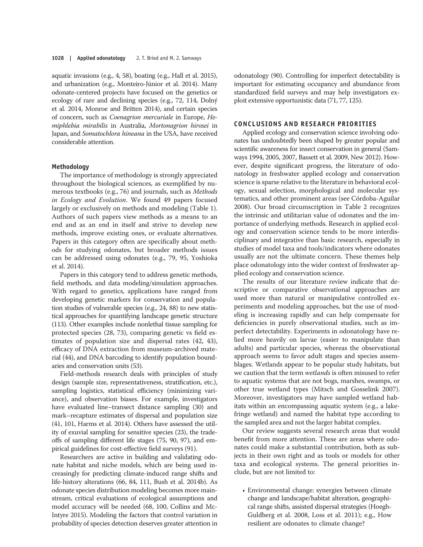aquatic invasions (e.g., 4, 58), boating (e.g., Hall et al. 2015), and urbanization (e.g., Monteiro-Júnior et al. 2014). Many odonate-centered projects have focused on the genetics or ecology of rare and declining species (e.g., 72, 114, Dolný et al. 2014, Monroe and Britten 2014), and certain species of concern, such as Coenagrion mercuriale in Europe, Hemiphlebia mirabilis in Australia, Mortonagrion hirosei in Japan, and Somatochlora hineana in the USA, have received considerable attention.

# Methodology

The importance of methodology is strongly appreciated throughout the biological sciences, as exemplified by numerous textbooks (e.g., 76) and journals, such as Methods in Ecology and Evolution. We found 49 papers focused largely or exclusively on methods and modeling (Table 1). Authors of such papers view methods as a means to an end and as an end in itself and strive to develop new methods, improve existing ones, or evaluate alternatives. Papers in this category often are specifically about methods for studying odonates, but broader methods issues can be addressed using odonates (e.g., 79, 95, Yoshioka et al. 2014).

Papers in this category tend to address genetic methods, field methods, and data modeling/simulation approaches. With regard to genetics, applications have ranged from developing genetic markers for conservation and population studies of vulnerable species (e.g., 24, 88) to new statistical approaches for quantifying landscape genetic structure (113). Other examples include nonlethal tissue sampling for protected species (28, 73), comparing genetic vs field estimates of population size and dispersal rates (42, 43), efficacy of DNA extraction from museum-archived material (44), and DNA barcoding to identify population boundaries and conservation units (53).

Field-methods research deals with principles of study design (sample size, representativeness, stratification, etc.), sampling logistics, statistical efficiency (minimizing variance), and observation biases. For example, investigators have evaluated line–transect distance sampling (30) and mark–recapture estimates of dispersal and population size (41, 101, Harms et al. 2014). Others have assessed the utility of exuvial sampling for sensitive species (23), the tradeoffs of sampling different life stages (75, 90, 97), and empirical guidelines for cost-effective field surveys (91).

Researchers are active in building and validating odonate habitat and niche models, which are being used increasingly for predicting climate-induced range shifts and life-history alterations (66, 84, 111, Bush et al. 2014b). As odonate species distribution modeling becomes more mainstream, critical evaluations of ecological assumptions and model accuracy will be needed (68, 100, Collins and Mc-Intyre 2015). Modeling the factors that control variation in probability of species detection deserves greater attention in odonatology (90). Controlling for imperfect detectability is important for estimating occupancy and abundance from standardized field surveys and may help investigators exploit extensive opportunistic data (71, 77, 125).

#### CONCLUSIONS AND RESEARCH PRIORITIES

Applied ecology and conservation science involving odonates has undoubtedly been shaped by greater popular and scientific awareness for insect conservation in general (Samways 1994, 2005, 2007, Bassett et al. 2009, New 2012). However, despite significant progress, the literature of odonatology in freshwater applied ecology and conservation science is sparse relative to the literature in behavioral ecology, sexual selection, morphological and molecular systematics, and other prominent areas (see Córdoba-Aguilar 2008). Our broad circumscription in Table 2 recognizes the intrinsic and utilitarian value of odonates and the importance of underlying methods. Research in applied ecology and conservation science tends to be more interdisciplinary and integrative than basic research, especially in studies of model taxa and tools/indicators where odonates usually are not the ultimate concern. These themes help place odonatology into the wider context of freshwater applied ecology and conservation science.

The results of our literature review indicate that descriptive or comparative observational approaches are used more than natural or manipulative controlled experiments and modeling approaches, but the use of modeling is increasing rapidly and can help compensate for deficiencies in purely observational studies, such as imperfect detectability. Experiments in odonatology have relied more heavily on larvae (easier to manipulate than adults) and particular species, whereas the observational approach seems to favor adult stages and species assemblages. Wetlands appear to be popular study habitats, but we caution that the term wetlands is often misused to refer to aquatic systems that are not bogs, marshes, swamps, or other true wetland types (Mitsch and Gosselink 2007). Moreover, investigators may have sampled wetland habitats within an encompassing aquatic system (e.g., a lakefringe wetland) and named the habitat type according to the sampled area and not the larger habitat complex.

Our review suggests several research areas that would benefit from more attention. These are areas where odonates could make a substantial contribution, both as subjects in their own right and as tools or models for other taxa and ecological systems. The general priorities include, but are not limited to:

• Environmental change: synergies between climate change and landscape/habitat alteration, geographical range shifts, assisted dispersal strategies (Hoegh-Guldberg et al. 2008, Loss et al. 2011); e.g., How resilient are odonates to climate change?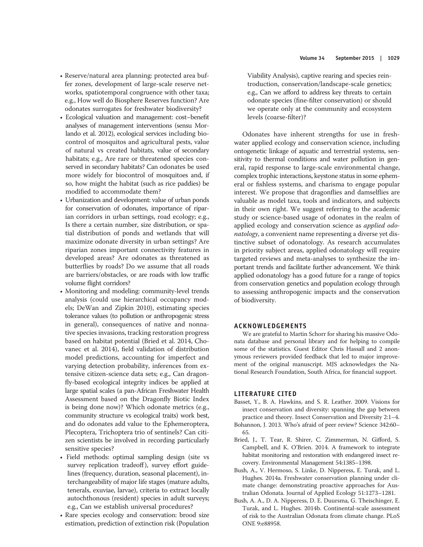- Reserve/natural area planning: protected area buffer zones, development of large-scale reserve networks, spatiotemporal congruence with other taxa; e.g., How well do Biosphere Reserves function? Are odonates surrogates for freshwater biodiversity?
- Ecological valuation and management: cost–benefit analyses of management interventions (sensu Morlando et al. 2012), ecological services including biocontrol of mosquitos and agricultural pests, value of natural vs created habitats, value of secondary habitats; e.g., Are rare or threatened species conserved in secondary habitats? Can odonates be used more widely for biocontrol of mosquitoes and, if so, how might the habitat (such as rice paddies) be modified to accommodate them?
- Urbanization and development: value of urban ponds for conservation of odonates, importance of riparian corridors in urban settings, road ecology; e.g., Is there a certain number, size distribution, or spatial distribution of ponds and wetlands that will maximize odonate diversity in urban settings? Are riparian zones important connectivity features in developed areas? Are odonates as threatened as butterflies by roads? Do we assume that all roads are barriers/obstacles, or are roads with low traffic volume flight corridors?
- Monitoring and modeling: community-level trends analysis (could use hierarchical occupancy models; DeWan and Zipkin 2010), estimating species tolerance values (to pollution or anthropogenic stress in general), consequences of native and nonnative species invasions, tracking restoration progress based on habitat potential (Bried et al. 2014, Chovanec et al. 2014), field validation of distribution model predictions, accounting for imperfect and varying detection probability, inferences from extensive citizen-science data sets; e.g., Can dragonfly-based ecological integrity indices be applied at large spatial scales (a pan-African Freshwater Health Assessment based on the Dragonfly Biotic Index is being done now)? Which odonate metrics (e.g., community structure vs ecological traits) work best, and do odonates add value to the Ephemeroptera, Plecoptera, Trichoptera trio of sentinels? Can citizen scientists be involved in recording particularly sensitive species?
- Field methods: optimal sampling design (site vs survey replication tradeoff), survey effort guidelines (frequency, duration, seasonal placement), interchangeability of major life stages (mature adults, tenerals, exuviae, larvae), criteria to extract locally autochthonous (resident) species in adult surveys; e.g., Can we establish universal procedures?
- Rare species ecology and conservation: brood size estimation, prediction of extinction risk (Population

Viability Analysis), captive rearing and species reintroduction, conservation/landscape-scale genetics; e.g., Can we afford to address key threats to certain odonate species (fine-filter conservation) or should we operate only at the community and ecosystem levels (coarse-filter)?

Odonates have inherent strengths for use in freshwater applied ecology and conservation science, including ontogenetic linkage of aquatic and terrestrial systems, sensitivity to thermal conditions and water pollution in general, rapid response to large-scale environmental change, complex trophic interactions, keystone status in some ephemeral or fishless systems, and charisma to engage popular interest. We propose that dragonflies and damselflies are valuable as model taxa, tools and indicators, and subjects in their own right. We suggest referring to the academic study or science-based usage of odonates in the realm of applied ecology and conservation science as applied odonatology, a convenient name representing a diverse yet distinctive subset of odonatology. As research accumulates in priority subject areas, applied odonatology will require targeted reviews and meta-analyses to synthesize the important trends and facilitate further advancement. We think applied odonatology has a good future for a range of topics from conservation genetics and population ecology through to assessing anthropogenic impacts and the conservation of biodiversity.

#### ACKNOWLEDGEMENTS

We are grateful to Martin Schorr for sharing his massive Odonata database and personal library and for helping to compile some of the statistics. Guest Editor Chris Hassall and 2 anonymous reviewers provided feedback that led to major improvement of the original manuscript. MJS acknowledges the National Research Foundation, South Africa, for financial support.

# LITERATURE CITED

- Basset, Y., B. A. Hawkins, and S. R. Leather. 2009. Visions for insect conservation and diversity: spanning the gap between practice and theory. Insect Conservation and Diversity 2:1–4.
- Bohannon, J. 2013. Who's afraid of peer review? Science 342:60– 65.
- Bried, J., T. Tear, R. Shirer, C. Zimmerman, N. Gifford, S. Campbell, and K. O'Brien. 2014. A framework to integrate habitat monitoring and restoration with endangered insect recovery. Environmental Management 54:1385–1398.
- Bush, A., V. Hermoso, S. Linke, D. Nipperess, E. Turak, and L. Hughes. 2014a. Freshwater conservation planning under climate change: demonstrating proactive approaches for Australian Odonata. Journal of Applied Ecology 51:1273–1281.
- Bush, A. A., D. A. Nipperess, D. E. Duursma, G. Theischinger, E. Turak, and L. Hughes. 2014b. Continental-scale assessment of risk to the Australian Odonata from climate change. PLoS ONE 9:e88958.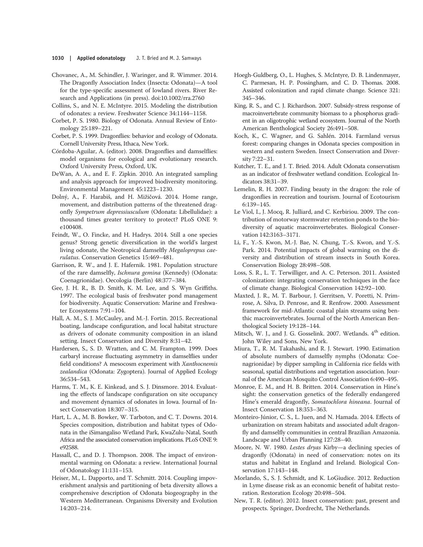- Chovanec, A., M. Schindler, J. Waringer, and R. Wimmer. 2014. The Dragonfly Association Index (Insecta: Odonata)—A tool for the type-specific assessment of lowland rivers. River Research and Applications (in press). doi:10.1002/rra.2760
- Collins, S., and N. E. McIntyre. 2015. Modeling the distribution of odonates: a review. Freshwater Science 34:1144–1158.
- Corbet, P. S. 1980. Biology of Odonata. Annual Review of Entomology 25:189–221.
- Corbet, P. S. 1999. Dragonflies: behavior and ecology of Odonata. Cornell University Press, Ithaca, New York.
- Córdoba-Aguilar, A. (editor). 2008. Dragonflies and damselflies: model organisms for ecological and evolutionary research. Oxford University Press, Oxford, UK.
- DeWan, A. A., and E. F. Zipkin. 2010. An integrated sampling and analysis approach for improved biodiversity monitoring. Environmental Management 45:1223–1230.
- Dolný, A., F. Harabiš, and H. Mižičová. 2014. Home range, movement, and distribution patterns of the threatened dragonfly Sympetrum depressiusculum (Odonata: Libellulidae): a thousand times greater territory to protect? PLoS ONE 9: e100408.
- Feindt, W., O. Fincke, and H. Hadrys. 2014. Still a one species genus? Strong genetic diversification in the world's largest living odonate, the Neotropical damselfly Megaloprepus caerulatus. Conservation Genetics 15:469–481.
- Garrison, R. W., and J. E. Hafernik. 1981. Population structure of the rare damselfly, Ischnura gemina (Kennedy) (Odonata: Coenagrionidae). Oecologia (Berlin) 48:377–384.
- Gee, J. H. R., B. D. Smith, K. M. Lee, and S. Wyn Griffiths. 1997. The ecological basis of freshwater pond management for biodiversity. Aquatic Conservation: Marine and Freshwater Ecosystems 7:91–104.
- Hall, A. M., S. J. McCauley, and M.-J. Fortin. 2015. Recreational boating, landscape configuration, and local habitat structure as drivers of odonate community composition in an island setting. Insect Conservation and Diversity 8:31–42.
- Hardersen, S., S. D. Wratten, and C. M. Frampton. 1999. Does carbaryl increase fluctuating asymmetry in damselflies under field conditions? A mesocosm experiment with *Xanthocnemis* zealandica (Odonata: Zygoptera). Journal of Applied Ecology 36:534–543.
- Harms, T. M., K. E. Kinkead, and S. J. Dinsmore. 2014. Evaluating the effects of landscape configuration on site occupancy and movement dynamics of odonates in Iowa. Journal of Insect Conservation 18:307–315.
- Hart, L. A., M. B. Bowker, W. Tarboton, and C. T. Downs. 2014. Species composition, distribution and habitat types of Odonata in the iSimangaliso Wetland Park, KwaZulu-Natal, South Africa and the associated conservation implications. PLoS ONE 9: e92588.
- Hassall, C., and D. J. Thompson. 2008. The impact of environmental warming on Odonata: a review. International Journal of Odonatology 11:131–153.
- Heiser, M., L. Dapporto, and T. Schmitt. 2014. Coupling impoverishment analysis and partitioning of beta diversity allows a comprehensive description of Odonata biogeography in the Western Mediterranean. Organisms Diversity and Evolution 14:203–214.
- Hoegh-Guldberg, O., L. Hughes, S. McIntyre, D. B. Lindenmayer, C. Parmesan, H. P. Possingham, and C. D. Thomas. 2008. Assisted colonization and rapid climate change. Science 321: 345–346.
- King, R. S., and C. J. Richardson. 2007. Subsidy-stress response of macroinvertebrate community biomass to a phosphorus gradient in an oligotrophic wetland ecosystem. Journal of the North American Benthological Society 26:491–508.
- Koch, K., C. Wagner, and G. Sahlén. 2014. Farmland versus forest: comparing changes in Odonata species composition in western and eastern Sweden. Insect Conservation and Diversity 7:22–31.
- Kutcher, T. E., and J. T. Bried. 2014. Adult Odonata conservatism as an indicator of freshwater wetland condition. Ecological Indicators 38:31–39.
- Lemelin, R. H. 2007. Finding beauty in the dragon: the role of dragonflies in recreation and tourism. Journal of Ecotourism 6:139–145.
- Le Viol, I., J. Mocq, R. Julliard, and C. Kerbiriou. 2009. The contribution of motorway stormwater retention ponds to the biodiversity of aquatic macroinvertebrates. Biological Conservation 142:3163–3171.
- Li, F., Y.-S. Kwon, M.-J. Bae, N. Chung, T.-S. Kwon, and Y.-S. Park. 2014. Potential impacts of global warming on the diversity and distribution of stream insects in South Korea. Conservation Biology 28:498–508.
- Loss, S. R., L. T. Terwilliger, and A. C. Peterson. 2011. Assisted colonization: integrating conservation techniques in the face of climate change. Biological Conservation 142:92–100.
- Maxted, J. R., M. T. Barbour, J. Gerritsen, V. Poretti, N. Primrose, A. Silva, D. Penrose, and R. Renfrow. 2000. Assessment framework for mid-Atlantic coastal plain streams using benthic macroinvertebrates. Journal of the North American Benthological Society 19:128–144.
- Mitsch, W. J., and J. G. Gosselink. 2007. Wetlands. 4<sup>th</sup> edition. John Wiley and Sons, New York.
- Miura, T., R. M. Takahashi, and R. J. Stewart. 1990. Estimation of absolute numbers of damselfly nymphs (Odonata: Coenagrionidae) by dipper sampling in California rice fields with seasonal, spatial distributions and vegetation association. Journal of the American Mosquito Control Association 6:490–495.
- Monroe, E. M., and H. B. Britten. 2014. Conservation in Hine's sight: the conservation genetics of the federally endangered Hine's emerald dragonfly, Somatochlora hineana. Journal of Insect Conservation 18:353–363.
- Monteiro-Júnior, C. S., L. Juen, and N. Hamada. 2014. Effects of urbanization on stream habitats and associated adult dragonfly and damselfly communities in central Brazilian Amazonia. Landscape and Urban Planning 127:28–40.
- Moore, N. W. 1980. Lestes dryas Kirby—a declining species of dragonfly (Odonata) in need of conservation: notes on its status and habitat in England and Ireland. Biological Conservation 17:143–148.
- Morlando, S., S. J. Schmidt, and K. LoGiudice. 2012. Reduction in Lyme disease risk as an economic benefit of habitat restoration. Restoration Ecology 20:498–504.
- New, T. R. (editor). 2012. Insect conservation: past, present and prospects. Springer, Dordrecht, The Netherlands.